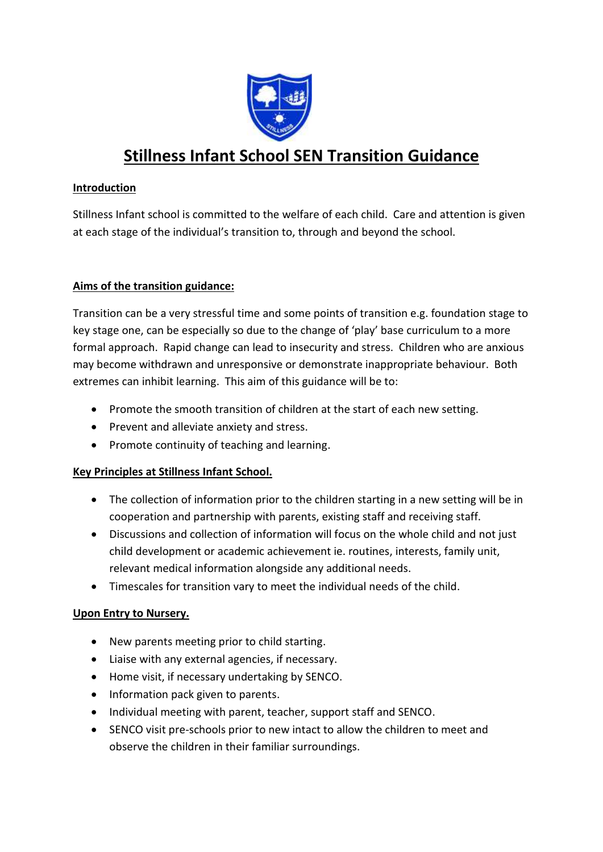

# **Stillness Infant School SEN Transition Guidance**

## **Introduction**

Stillness Infant school is committed to the welfare of each child. Care and attention is given at each stage of the individual's transition to, through and beyond the school.

### **Aims of the transition guidance:**

Transition can be a very stressful time and some points of transition e.g. foundation stage to key stage one, can be especially so due to the change of 'play' base curriculum to a more formal approach. Rapid change can lead to insecurity and stress. Children who are anxious may become withdrawn and unresponsive or demonstrate inappropriate behaviour. Both extremes can inhibit learning. This aim of this guidance will be to:

- Promote the smooth transition of children at the start of each new setting.
- Prevent and alleviate anxiety and stress.
- Promote continuity of teaching and learning.

## **Key Principles at Stillness Infant School.**

- The collection of information prior to the children starting in a new setting will be in cooperation and partnership with parents, existing staff and receiving staff.
- Discussions and collection of information will focus on the whole child and not just child development or academic achievement ie. routines, interests, family unit, relevant medical information alongside any additional needs.
- Timescales for transition vary to meet the individual needs of the child.

### **Upon Entry to Nursery.**

- New parents meeting prior to child starting.
- Liaise with any external agencies, if necessary.
- Home visit, if necessary undertaking by SENCO.
- Information pack given to parents.
- Individual meeting with parent, teacher, support staff and SENCO.
- SENCO visit pre-schools prior to new intact to allow the children to meet and observe the children in their familiar surroundings.